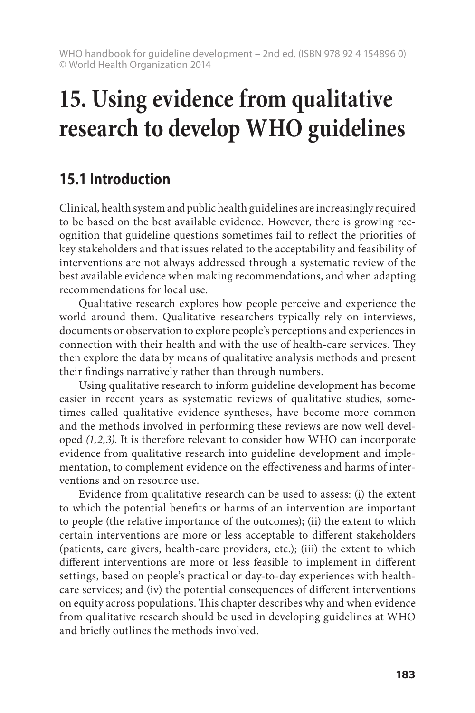## **15.1 Introduction**

Clinical, health system and public health guidelines are increasingly required to be based on the best available evidence. However, there is growing recognition that guideline questions sometimes fail to reflect the priorities of key stakeholders and that issues related to the acceptability and feasibility of interventions are not always addressed through a systematic review of the best available evidence when making recommendations, and when adapting recommendations for local use.

Qualitative research explores how people perceive and experience the world around them. Qualitative researchers typically rely on interviews, documents or observation to explore people's perceptions and experiences in connection with their health and with the use of health-care services. They then explore the data by means of qualitative analysis methods and present their findings narratively rather than through numbers.

Using qualitative research to inform guideline development has become easier in recent years as systematic reviews of qualitative studies, sometimes called qualitative evidence syntheses, have become more common and the methods involved in performing these reviews are now well developed *(1,2,3)*. It is therefore relevant to consider how WHO can incorporate evidence from qualitative research into guideline development and implementation, to complement evidence on the effectiveness and harms of interventions and on resource use.

Evidence from qualitative research can be used to assess: (i) the extent to which the potential benefits or harms of an intervention are important to people (the relative importance of the outcomes); (ii) the extent to which certain interventions are more or less acceptable to different stakeholders (patients, care givers, health-care providers, etc.); (iii) the extent to which different interventions are more or less feasible to implement in different settings, based on people's practical or day-to-day experiences with healthcare services; and (iv) the potential consequences of different interventions on equity across populations. This chapter describes why and when evidence from qualitative research should be used in developing guidelines at WHO and briefly outlines the methods involved.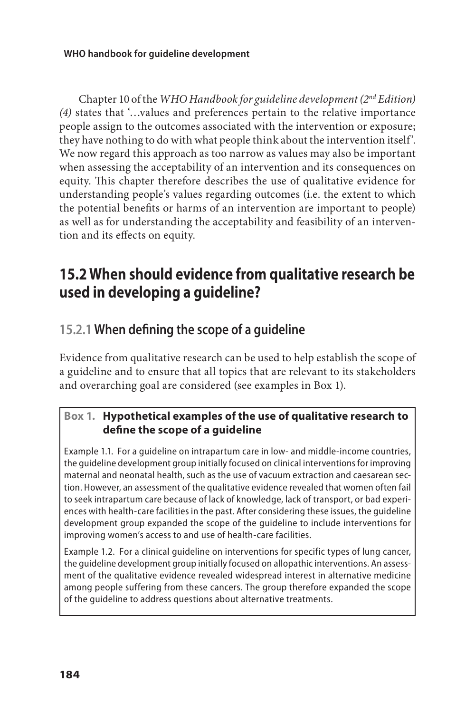Chapter 10 of the *WHO Handbook for guideline development (2nd Edition) (4)* states that '…values and preferences pertain to the relative importance people assign to the outcomes associated with the intervention or exposure; they have nothing to do with what people think about the intervention itself'. We now regard this approach as too narrow as values may also be important when assessing the acceptability of an intervention and its consequences on equity. This chapter therefore describes the use of qualitative evidence for understanding people's values regarding outcomes (i.e. the extent to which the potential benefits or harms of an intervention are important to people) as well as for understanding the acceptability and feasibility of an intervention and its effects on equity.

## **15.2 When should evidence from qualitative research be used in developing a guideline?**

## **15.2.1 When defining the scope of a guideline**

Evidence from qualitative research can be used to help establish the scope of a guideline and to ensure that all topics that are relevant to its stakeholders and overarching goal are considered (see examples in Box 1).

### **Box 1. Hypothetical examples of the use of qualitative research to define the scope of a guideline**

Example 1.1. For a guideline on intrapartum care in low- and middle-income countries, the guideline development group initially focused on clinical interventions for improving maternal and neonatal health, such as the use of vacuum extraction and caesarean section. However, an assessment of the qualitative evidence revealed that women often fail to seek intrapartum care because of lack of knowledge, lack of transport, or bad experiences with health-care facilities in the past. After considering these issues, the guideline development group expanded the scope of the guideline to include interventions for improving women's access to and use of health-care facilities.

Example 1.2. For a clinical guideline on interventions for specific types of lung cancer, the guideline development group initially focused on allopathic interventions. An assessment of the qualitative evidence revealed widespread interest in alternative medicine among people suffering from these cancers. The group therefore expanded the scope of the guideline to address questions about alternative treatments.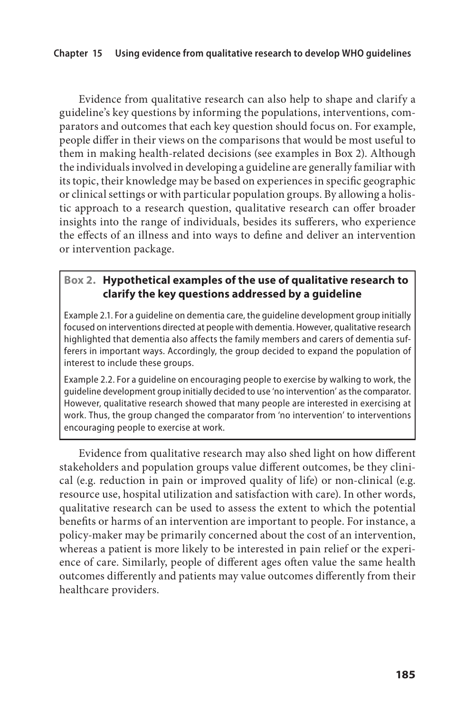Evidence from qualitative research can also help to shape and clarify a guideline's key questions by informing the populations, interventions, comparators and outcomes that each key question should focus on. For example, people differ in their views on the comparisons that would be most useful to them in making health-related decisions (see examples in Box 2). Although the individuals involved in developing a guideline are generally familiar with its topic, their knowledge may be based on experiences in specific geographic or clinical settings or with particular population groups. By allowing a holistic approach to a research question, qualitative research can offer broader insights into the range of individuals, besides its sufferers, who experience the effects of an illness and into ways to define and deliver an intervention or intervention package.

### **Box 2. Hypothetical examples of the use of qualitative research to clarify the key questions addressed by a guideline**

Example 2.1. For a guideline on dementia care, the guideline development group initially focused on interventions directed at people with dementia. However, qualitative research highlighted that dementia also affects the family members and carers of dementia sufferers in important ways. Accordingly, the group decided to expand the population of interest to include these groups.

Example 2.2. For a guideline on encouraging people to exercise by walking to work, the guideline development group initially decided to use 'no intervention' as the comparator. However, qualitative research showed that many people are interested in exercising at work. Thus, the group changed the comparator from 'no intervention' to interventions encouraging people to exercise at work.

Evidence from qualitative research may also shed light on how different stakeholders and population groups value different outcomes, be they clinical (e.g. reduction in pain or improved quality of life) or non-clinical (e.g. resource use, hospital utilization and satisfaction with care). In other words, qualitative research can be used to assess the extent to which the potential benefits or harms of an intervention are important to people. For instance, a policy-maker may be primarily concerned about the cost of an intervention, whereas a patient is more likely to be interested in pain relief or the experience of care. Similarly, people of different ages often value the same health outcomes differently and patients may value outcomes differently from their healthcare providers.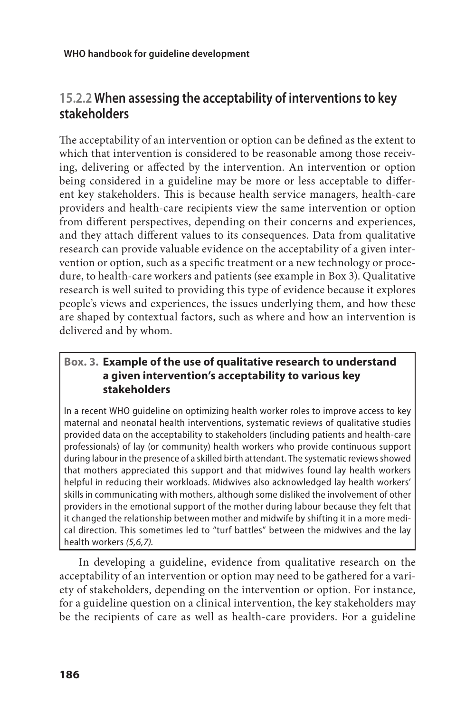## **15.2.2 When assessing the acceptability of interventions to key stakeholders**

The acceptability of an intervention or option can be defined as the extent to which that intervention is considered to be reasonable among those receiving, delivering or affected by the intervention. An intervention or option being considered in a guideline may be more or less acceptable to different key stakeholders. This is because health service managers, health-care providers and health-care recipients view the same intervention or option from different perspectives, depending on their concerns and experiences, and they attach different values to its consequences. Data from qualitative research can provide valuable evidence on the acceptability of a given intervention or option, such as a specific treatment or a new technology or procedure, to health-care workers and patients (see example in Box 3). Qualitative research is well suited to providing this type of evidence because it explores people's views and experiences, the issues underlying them, and how these are shaped by contextual factors, such as where and how an intervention is delivered and by whom.

#### **Box. 3. Example of the use of qualitative research to understand a given intervention's acceptability to various key stakeholders**

In a recent WHO guideline on optimizing health worker roles to improve access to key maternal and neonatal health interventions, systematic reviews of qualitative studies provided data on the acceptability to stakeholders (including patients and health-care professionals) of lay (or community) health workers who provide continuous support during labour in the presence of a skilled birth attendant. The systematic reviews showed that mothers appreciated this support and that midwives found lay health workers helpful in reducing their workloads. Midwives also acknowledged lay health workers' skills in communicating with mothers, although some disliked the involvement of other providers in the emotional support of the mother during labour because they felt that it changed the relationship between mother and midwife by shifting it in a more medical direction. This sometimes led to "turf battles" between the midwives and the lay health workers *(5,6,7).*

In developing a guideline, evidence from qualitative research on the acceptability of an intervention or option may need to be gathered for a variety of stakeholders, depending on the intervention or option. For instance, for a guideline question on a clinical intervention, the key stakeholders may be the recipients of care as well as health-care providers. For a guideline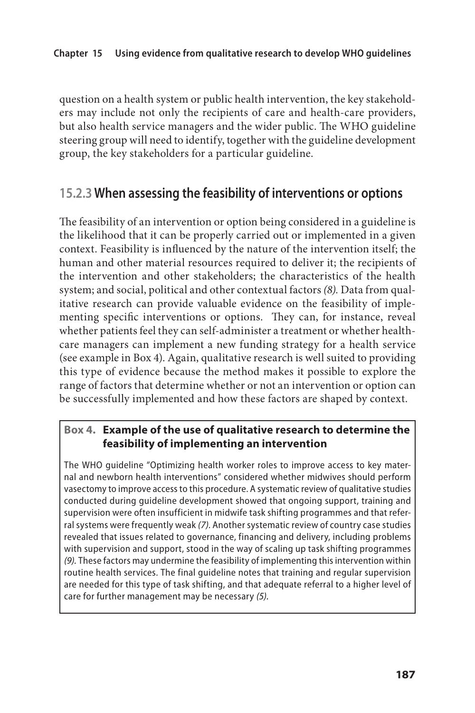question on a health system or public health intervention, the key stakeholders may include not only the recipients of care and health-care providers, but also health service managers and the wider public. The WHO guideline steering group will need to identify, together with the guideline development group, the key stakeholders for a particular guideline.

### **15.2.3 When assessing the feasibility of interventions or options**

The feasibility of an intervention or option being considered in a guideline is the likelihood that it can be properly carried out or implemented in a given context. Feasibility is influenced by the nature of the intervention itself; the human and other material resources required to deliver it; the recipients of the intervention and other stakeholders; the characteristics of the health system; and social, political and other contextual factors *(8).* Data from qualitative research can provide valuable evidence on the feasibility of implementing specific interventions or options. They can, for instance, reveal whether patients feel they can self-administer a treatment or whether healthcare managers can implement a new funding strategy for a health service (see example in Box 4). Again, qualitative research is well suited to providing this type of evidence because the method makes it possible to explore the range of factors that determine whether or not an intervention or option can be successfully implemented and how these factors are shaped by context.

#### **Box 4. Example of the use of qualitative research to determine the feasibility of implementing an intervention**

The WHO guideline "Optimizing health worker roles to improve access to key maternal and newborn health interventions" considered whether midwives should perform vasectomy to improve access to this procedure. A systematic review of qualitative studies conducted during guideline development showed that ongoing support, training and supervision were often insufficient in midwife task shifting programmes and that referral systems were frequently weak *(7)*. Another systematic review of country case studies revealed that issues related to governance, financing and delivery, including problems with supervision and support, stood in the way of scaling up task shifting programmes *(9).* These factors may undermine the feasibility of implementing this intervention within routine health services. The final guideline notes that training and regular supervision are needed for this type of task shifting, and that adequate referral to a higher level of care for further management may be necessary *(5).*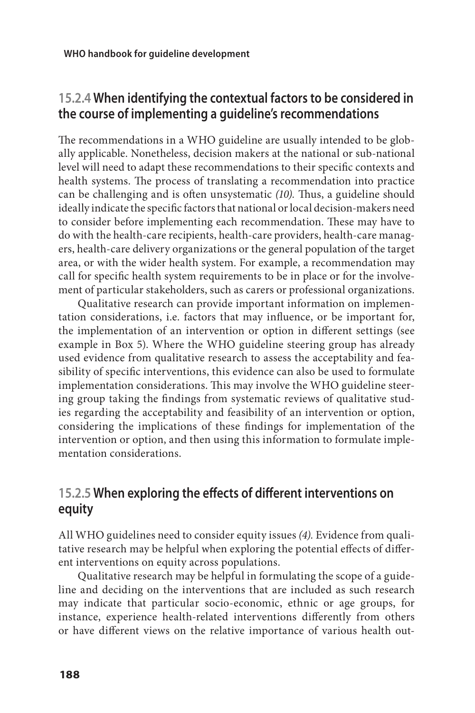## **15.2.4 When identifying the contextual factors to be considered in the course of implementing a guideline's recommendations**

The recommendations in a WHO guideline are usually intended to be globally applicable. Nonetheless, decision makers at the national or sub-national level will need to adapt these recommendations to their specific contexts and health systems. The process of translating a recommendation into practice can be challenging and is often unsystematic *(10).* Thus, a guideline should ideally indicate the specific factors that national or local decision-makers need to consider before implementing each recommendation. These may have to do with the health-care recipients, health-care providers, health-care managers, health-care delivery organizations or the general population of the target area, or with the wider health system. For example, a recommendation may call for specific health system requirements to be in place or for the involvement of particular stakeholders, such as carers or professional organizations.

Qualitative research can provide important information on implementation considerations, i.e. factors that may influence, or be important for, the implementation of an intervention or option in different settings (see example in Box 5). Where the WHO guideline steering group has already used evidence from qualitative research to assess the acceptability and feasibility of specific interventions, this evidence can also be used to formulate implementation considerations. This may involve the WHO guideline steering group taking the findings from systematic reviews of qualitative studies regarding the acceptability and feasibility of an intervention or option, considering the implications of these findings for implementation of the intervention or option, and then using this information to formulate implementation considerations.

## **15.2.5 When exploring the effects of different interventions on equity**

All WHO guidelines need to consider equity issues *(4).* Evidence from qualitative research may be helpful when exploring the potential effects of different interventions on equity across populations.

Qualitative research may be helpful in formulating the scope of a guideline and deciding on the interventions that are included as such research may indicate that particular socio-economic, ethnic or age groups, for instance, experience health-related interventions differently from others or have different views on the relative importance of various health out-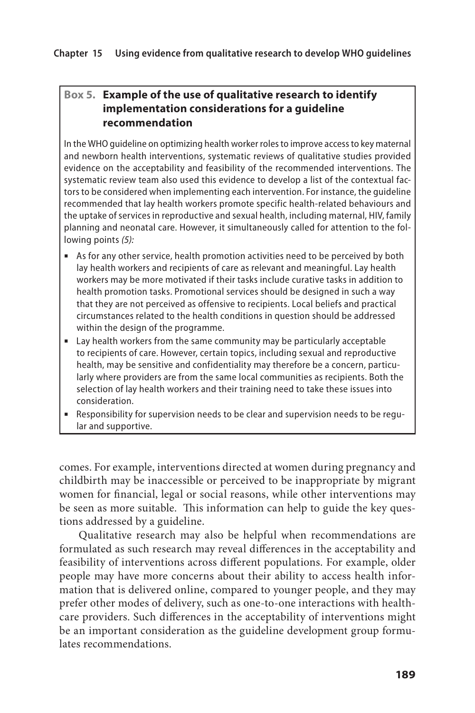#### **Box 5. Example of the use of qualitative research to identify implementation considerations for a guideline recommendation**

In the WHO guideline on optimizing health worker roles to improve access to key maternal and newborn health interventions, systematic reviews of qualitative studies provided evidence on the acceptability and feasibility of the recommended interventions. The systematic review team also used this evidence to develop a list of the contextual factors to be considered when implementing each intervention. For instance, the guideline recommended that lay health workers promote specific health-related behaviours and the uptake of services in reproductive and sexual health, including maternal, HIV, family planning and neonatal care. However, it simultaneously called for attention to the following points *(5):* 

- As for any other service, health promotion activities need to be perceived by both lay health workers and recipients of care as relevant and meaningful. Lay health workers may be more motivated if their tasks include curative tasks in addition to health promotion tasks. Promotional services should be designed in such a way that they are not perceived as offensive to recipients. Local beliefs and practical circumstances related to the health conditions in question should be addressed within the design of the programme.
- **■** Lay health workers from the same community may be particularly acceptable to recipients of care. However, certain topics, including sexual and reproductive health, may be sensitive and confidentiality may therefore be a concern, particularly where providers are from the same local communities as recipients. Both the selection of lay health workers and their training need to take these issues into consideration.
- **■** Responsibility for supervision needs to be clear and supervision needs to be regular and supportive.

comes. For example, interventions directed at women during pregnancy and childbirth may be inaccessible or perceived to be inappropriate by migrant women for financial, legal or social reasons, while other interventions may be seen as more suitable. This information can help to guide the key questions addressed by a guideline.

Qualitative research may also be helpful when recommendations are formulated as such research may reveal differences in the acceptability and feasibility of interventions across different populations. For example, older people may have more concerns about their ability to access health information that is delivered online, compared to younger people, and they may prefer other modes of delivery, such as one-to-one interactions with healthcare providers. Such differences in the acceptability of interventions might be an important consideration as the guideline development group formulates recommendations.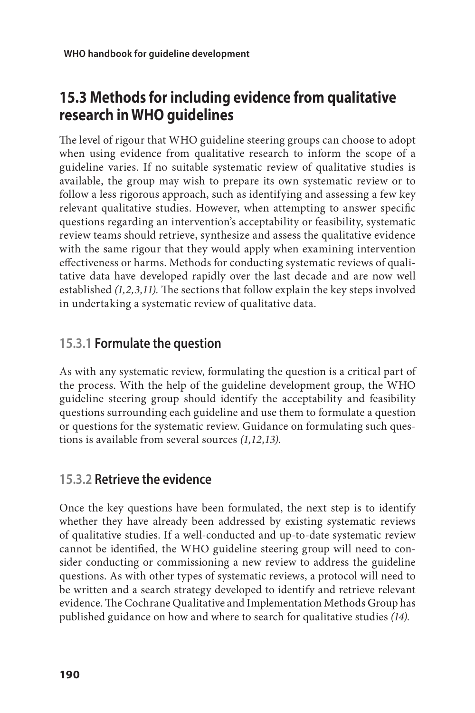## **15.3 Methods for including evidence from qualitative research in WHO guidelines**

The level of rigour that WHO guideline steering groups can choose to adopt when using evidence from qualitative research to inform the scope of a guideline varies. If no suitable systematic review of qualitative studies is available, the group may wish to prepare its own systematic review or to follow a less rigorous approach, such as identifying and assessing a few key relevant qualitative studies. However, when attempting to answer specific questions regarding an intervention's acceptability or feasibility, systematic review teams should retrieve, synthesize and assess the qualitative evidence with the same rigour that they would apply when examining intervention effectiveness or harms. Methods for conducting systematic reviews of qualitative data have developed rapidly over the last decade and are now well established *(1,2,3,11).* The sections that follow explain the key steps involved in undertaking a systematic review of qualitative data.

## **15.3.1 Formulate the question**

As with any systematic review, formulating the question is a critical part of the process. With the help of the guideline development group, the WHO guideline steering group should identify the acceptability and feasibility questions surrounding each guideline and use them to formulate a question or questions for the systematic review. Guidance on formulating such questions is available from several sources *(1,12,13).*

## **15.3.2 Retrieve the evidence**

Once the key questions have been formulated, the next step is to identify whether they have already been addressed by existing systematic reviews of qualitative studies. If a well-conducted and up-to-date systematic review cannot be identified, the WHO guideline steering group will need to consider conducting or commissioning a new review to address the guideline questions. As with other types of systematic reviews, a protocol will need to be written and a search strategy developed to identify and retrieve relevant evidence. The Cochrane Qualitative and Implementation Methods Group has published guidance on how and where to search for qualitative studies *(14).*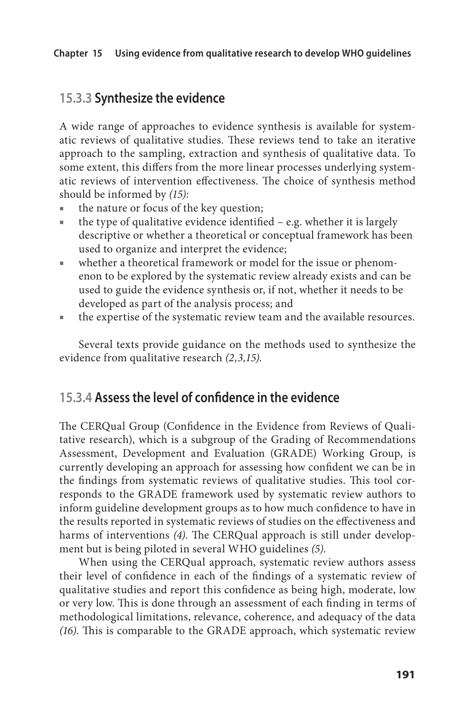### **15.3.3 Synthesize the evidence**

A wide range of approaches to evidence synthesis is available for systematic reviews of qualitative studies. These reviews tend to take an iterative approach to the sampling, extraction and synthesis of qualitative data. To some extent, this differs from the more linear processes underlying systematic reviews of intervention effectiveness. The choice of synthesis method should be informed by *(15):*

- the nature or focus of the key question;
- $\blacksquare$  the type of qualitative evidence identified e.g. whether it is largely descriptive or whether a theoretical or conceptual framework has been used to organize and interpret the evidence;
- whether a theoretical framework or model for the issue or phenomenon to be explored by the systematic review already exists and can be used to guide the evidence synthesis or, if not, whether it needs to be developed as part of the analysis process; and
- the expertise of the systematic review team and the available resources.

Several texts provide guidance on the methods used to synthesize the evidence from qualitative research *(2,3,15).*

### **15.3.4 Assess the level of confidence in the evidence**

The CERQual Group (Confidence in the Evidence from Reviews of Qualitative research), which is a subgroup of the Grading of Recommendations Assessment, Development and Evaluation (GRADE) Working Group, is currently developing an approach for assessing how confident we can be in the findings from systematic reviews of qualitative studies. This tool corresponds to the GRADE framework used by systematic review authors to inform guideline development groups as to how much confidence to have in the results reported in systematic reviews of studies on the effectiveness and harms of interventions *(4)*. The CERQual approach is still under development but is being piloted in several WHO guidelines *(5)*.

When using the CERQual approach, systematic review authors assess their level of confidence in each of the findings of a systematic review of qualitative studies and report this confidence as being high, moderate, low or very low. This is done through an assessment of each finding in terms of methodological limitations, relevance, coherence, and adequacy of the data *(16)*. This is comparable to the GRADE approach, which systematic review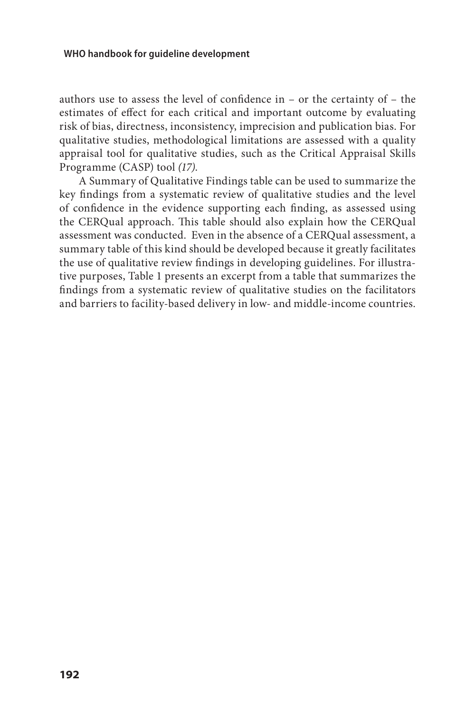#### **WHO handbook for guideline development**

authors use to assess the level of confidence in – or the certainty of – the estimates of effect for each critical and important outcome by evaluating risk of bias, directness, inconsistency, imprecision and publication bias. For qualitative studies, methodological limitations are assessed with a quality appraisal tool for qualitative studies, such as the Critical Appraisal Skills Programme (CASP) tool *(17)*.

A Summary of Qualitative Findings table can be used to summarize the key findings from a systematic review of qualitative studies and the level of confidence in the evidence supporting each finding, as assessed using the CERQual approach. This table should also explain how the CERQual assessment was conducted. Even in the absence of a CERQual assessment, a summary table of this kind should be developed because it greatly facilitates the use of qualitative review findings in developing guidelines. For illustrative purposes, Table 1 presents an excerpt from a table that summarizes the findings from a systematic review of qualitative studies on the facilitators and barriers to facility-based delivery in low- and middle-income countries.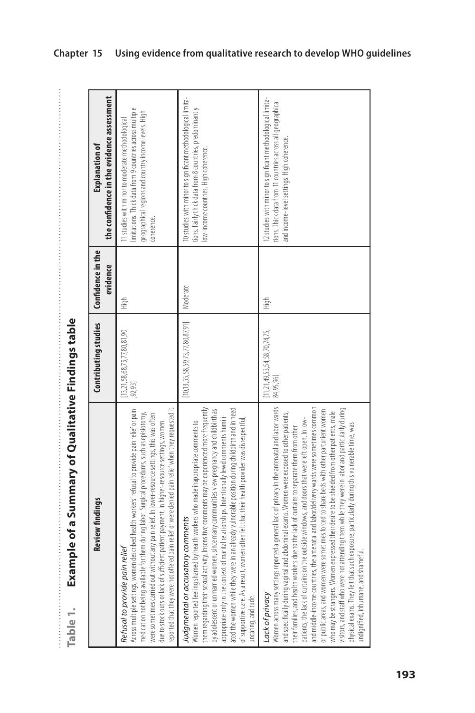Example of a Summary of Qualitative Findings table **Table 1. Example of a Summary of Qualitative Findings table**  Table 1.

 $\vdots$ 

| <b>Review findings</b>                                                                                                                                                                                                                                                                                                                                                                                                                                                                                                                                                                                                                                                                                                                                                                         | Contributing studies                              | Confidence in the<br>evidence | the confidence in the evidence assessment<br>Explanation of                                                                                                                        |
|------------------------------------------------------------------------------------------------------------------------------------------------------------------------------------------------------------------------------------------------------------------------------------------------------------------------------------------------------------------------------------------------------------------------------------------------------------------------------------------------------------------------------------------------------------------------------------------------------------------------------------------------------------------------------------------------------------------------------------------------------------------------------------------------|---------------------------------------------------|-------------------------------|------------------------------------------------------------------------------------------------------------------------------------------------------------------------------------|
| pain relief or were denied pain relief when they requested it.<br>Across multiple settings, women described health workers' refusal to provide pain relief or pain<br>them during labor. Surgical procedures, such as episiotomy,<br>were sometimes carried out without any pain relief. In lower-resource settings, this was often<br>due to stock outs or lack of sufficient patient payment. In higher-resource settings, women<br>Refusal to provide pain relief<br>medication not being available for t<br>reported that they were not offered                                                                                                                                                                                                                                            | 13, 21, 58, 68, 75, 77, 80, 81, 90<br>, 92, 93]   | High                          | limitations. Thick data from 9 countries across multiple<br>geographical regions and country income levels. High<br>11 studies with minor to moderate methodological<br>coherence. |
| Women reported feeling shamed by health workers who made inappropriate comments to<br>them regarding their sexual activity. Insensitive comments may be experienced more frequently<br>an already vulnerable position during childbirth and in need<br>by adolescent or unmarried women, since many communities view pregnancy and childbirth as<br>appropriate only in the context of marital relationships. Intentionally lewd comments humili-<br>nen often felt that their health provider was disrespectful,<br>y comments<br>ated the women while they were in<br>of supportive care. As a result, wom<br>Judgmental or accusator<br>uncaring, and rude.                                                                                                                                 | $[10, 13, 55, 58, 59, 73, 77, 80, 87, 91]$        | Moderate                      | 10 studies with minor to significant methodological limita-<br>tions. Fairly thick data from 8 countries, predominantly<br>low-income countries. High coherence.                   |
| Women across many settings reported a general lack of privacy in the antenatal and labor wards<br>and specifically during vaginal and abdominal exams. Women were exposed to other patients,<br>their families, and health workers d<br>and middle-income countries, the antenatal and labor/delivery wards were sometimes common<br>visitors, and staff who were not attending them while they were in labor and particularly during<br>or public areas, and women were sometimes forced to share beds with other parturient women<br>who may be strangers. Women expressed their desire to be shielded from other patients, male<br>exposure, particularly during this vulnerable time, was<br>undignified, inhumane, and shameful<br>physical exams. They felt that such<br>Lack of privacy | [11, 21, 49, 53, 54, 58, 70, 74, 75,<br>84,95,96] | ti<br>High                    | 12 studies with minor to significant methodological limita-<br>tions. Thick data from 11 countries across all geographical<br>and income-level settings. High coherence.           |

### **Chapter 15 Using evidence from qualitative research to develop WHO guidelines**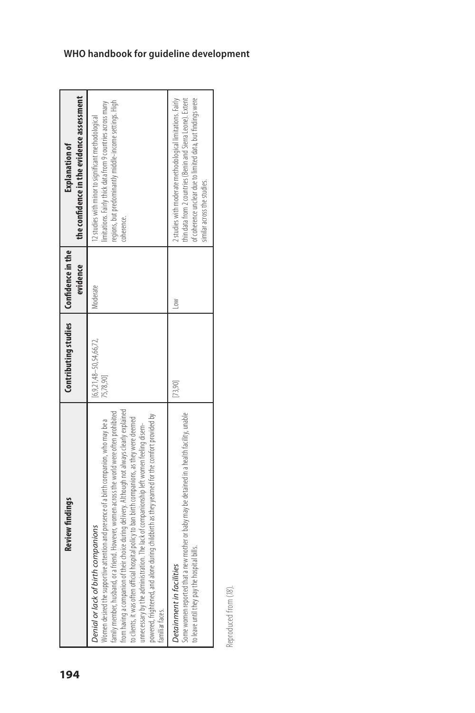| <b>Review findings</b>                                                                                                                                                                                                                                                                                                                                                                                                                                                                                                                                                                                                                         | Contributing studies   Confidence in the       | evidence    | the confidence in the evidence assessment<br><b>Explanation of</b>                                                                                                                                                      |  |
|------------------------------------------------------------------------------------------------------------------------------------------------------------------------------------------------------------------------------------------------------------------------------------------------------------------------------------------------------------------------------------------------------------------------------------------------------------------------------------------------------------------------------------------------------------------------------------------------------------------------------------------------|------------------------------------------------|-------------|-------------------------------------------------------------------------------------------------------------------------------------------------------------------------------------------------------------------------|--|
| from having a companion of their choice during delivery. Although not always clearly explained<br>amily member, husband, or a friend. However, women across the world were often prohibited<br>powered, frightened, and alone during childbirth as they yearned for the comfort provided by<br>ital policy to ban birth companions, as they were deemed<br>Vomen desired the supportive attention and presence of a birth companion, who may be a<br>unnecessary by the administration. The lack of companionship left women feeling disem-<br>Denial or lack of birth companions<br>to clients, it was often official hospi<br>amiliar faces. | $[6, 9, 21, 48 - 50, 54, 66, 72,$<br>75,78,90] | Moderate    | regions, but predominantly middle-income settings. High<br>imitations. Fairly thick data from 9 countries across many<br>12 studies with minor to significant methodological<br>coherence.                              |  |
| Some women reported that a new mother or baby may be detained in a health facility, unable<br>to leave until they pay the hospital bills.<br>Detainment in facilities                                                                                                                                                                                                                                                                                                                                                                                                                                                                          | 73,90                                          | $\geqslant$ | thin data from 2 countries (Benin and Sierra Leone). Extent<br>of coherence unclear due to limited data, but findings were<br>2 studies with moderate methodological limitations. Fairly<br>similar across the studies. |  |

Reproduced from (18). Reproduced from (*18*).

### **WHO handbook for guideline development**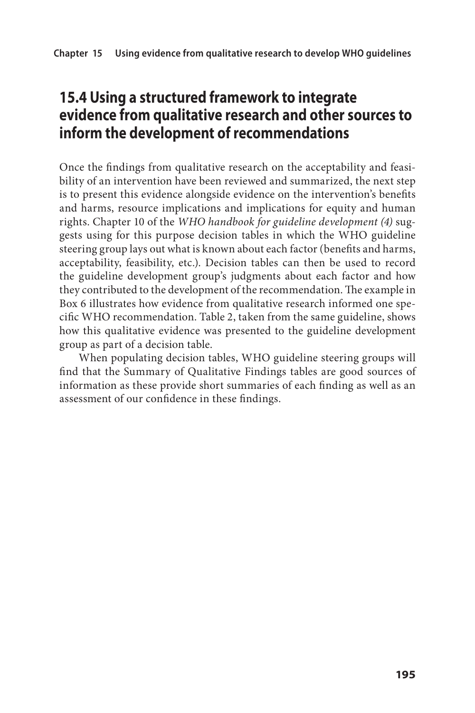## **15.4 Using a structured framework to integrate evidence from qualitative research and other sources to inform the development of recommendations**

Once the findings from qualitative research on the acceptability and feasibility of an intervention have been reviewed and summarized, the next step is to present this evidence alongside evidence on the intervention's benefits and harms, resource implications and implications for equity and human rights. Chapter 10 of the *WHO handbook for guideline development (4)* suggests using for this purpose decision tables in which the WHO guideline steering group lays out what is known about each factor (benefits and harms, acceptability, feasibility, etc.). Decision tables can then be used to record the guideline development group's judgments about each factor and how they contributed to the development of the recommendation. The example in Box 6 illustrates how evidence from qualitative research informed one specific WHO recommendation. Table 2, taken from the same guideline, shows how this qualitative evidence was presented to the guideline development group as part of a decision table.

When populating decision tables, WHO guideline steering groups will find that the Summary of Qualitative Findings tables are good sources of information as these provide short summaries of each finding as well as an assessment of our confidence in these findings.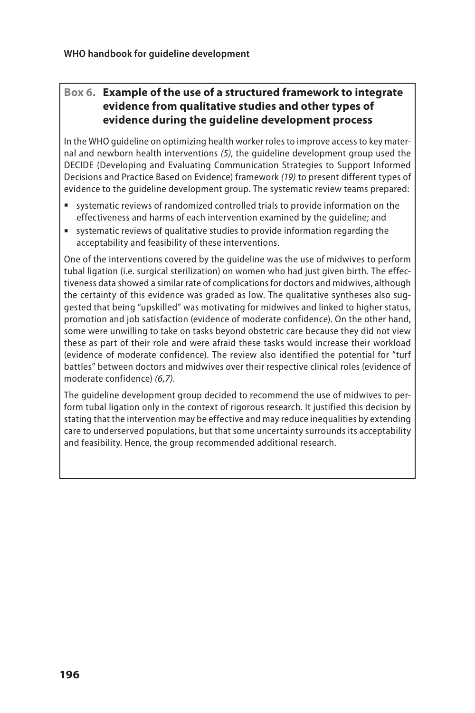### **Box 6. Example of the use of a structured framework to integrate evidence from qualitative studies and other types of evidence during the guideline development process**

In the WHO guideline on optimizing health worker roles to improve access to key maternal and newborn health interventions *(5)*, the guideline development group used the DECIDE (Developing and Evaluating Communication Strategies to Support Informed Decisions and Practice Based on Evidence) framework *(19)* to present different types of evidence to the guideline development group. The systematic review teams prepared:

- systematic reviews of randomized controlled trials to provide information on the effectiveness and harms of each intervention examined by the guideline; and
- systematic reviews of qualitative studies to provide information regarding the acceptability and feasibility of these interventions.

One of the interventions covered by the guideline was the use of midwives to perform tubal ligation (i.e. surgical sterilization) on women who had just given birth. The effectiveness data showed a similar rate of complications for doctors and midwives, although the certainty of this evidence was graded as low. The qualitative syntheses also suggested that being "upskilled" was motivating for midwives and linked to higher status, promotion and job satisfaction (evidence of moderate confidence). On the other hand, some were unwilling to take on tasks beyond obstetric care because they did not view these as part of their role and were afraid these tasks would increase their workload (evidence of moderate confidence). The review also identified the potential for "turf battles" between doctors and midwives over their respective clinical roles (evidence of moderate confidence) *(6,7)*.

The guideline development group decided to recommend the use of midwives to perform tubal ligation only in the context of rigorous research. It justified this decision by stating that the intervention may be effective and may reduce inequalities by extending care to underserved populations, but that some uncertainty surrounds its acceptability and feasibility. Hence, the group recommended additional research.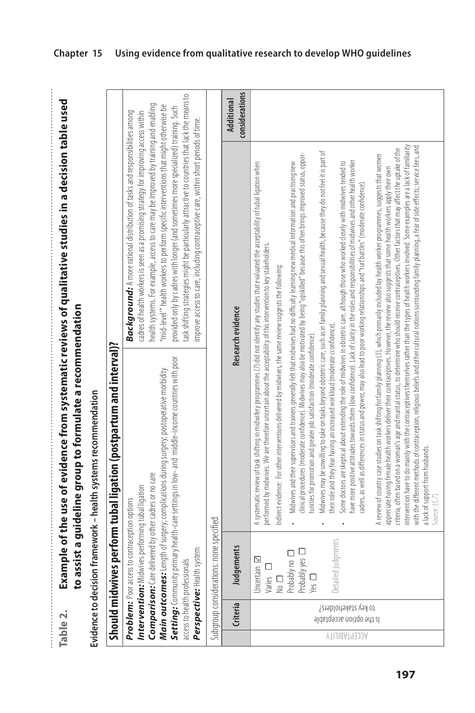Example of the use of evidence from systematic reviews of qualitative studies in a decision table used **Table 2. Example of the use of evidence from systematic reviews of qualitative studies in a decision table used**  to assist a guideline group to formulate a recommendation **to assist a guideline group to formulate a recommendation**  Table 2.  $\frac{1}{2}$   $\frac{1}{2}$   $\frac{1}{2}$   $\frac{1}{2}$   $\frac{1}{2}$   $\frac{1}{2}$   $\frac{1}{2}$   $\frac{1}{2}$   $\frac{1}{2}$   $\frac{1}{2}$   $\frac{1}{2}$   $\frac{1}{2}$   $\frac{1}{2}$   $\frac{1}{2}$   $\frac{1}{2}$   $\frac{1}{2}$   $\frac{1}{2}$   $\frac{1}{2}$   $\frac{1}{2}$   $\frac{1}{2}$   $\frac{1}{2}$   $\frac{1}{2}$ 

Evidence to decision framework - health systems recommendation **Evidence to decision framework – health systems recommendation**

#### **Chapter 15 Using evidence from qualitative research to develop WHO guidelines**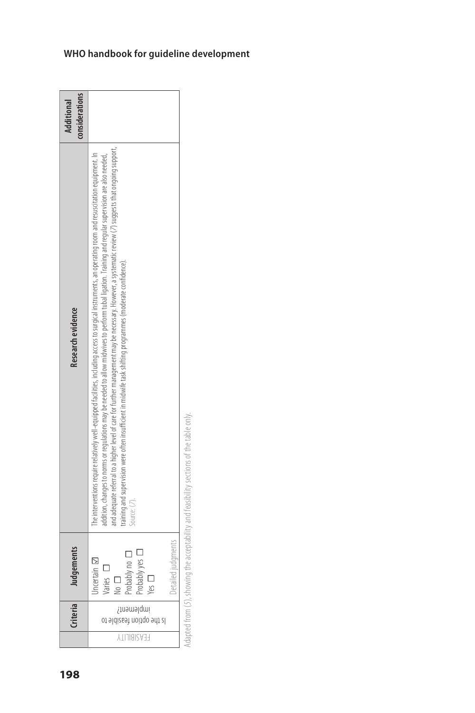| 198 |                    |                                         | nts   | Research evidence                                                                                                                                                                                                                                                                                                                                                                                                                                                                                                                                                                                               | considerations<br><b>Additional</b> |
|-----|--------------------|-----------------------------------------|-------|-----------------------------------------------------------------------------------------------------------------------------------------------------------------------------------------------------------------------------------------------------------------------------------------------------------------------------------------------------------------------------------------------------------------------------------------------------------------------------------------------------------------------------------------------------------------------------------------------------------------|-------------------------------------|
|     | <b>FEASIBILITY</b> | inplement?<br>ot sldizset noitgo sdt zl | Yes   | and adequate referral to a higher level of care for further management may be necessary. However, a systematic review (7) suggests that ongoing support,<br>The interventions require relatively well-equipped facilities, including access to surgical instruments, an operating room and resuscitation equipment. In<br>addition, changes to norms or regulations may be needed to allow midwives to perform tubal ligation. Training and regular supervision are also needed,<br>training and supervision were often insufficient in midwife task shifting programmes (moderate confidence).<br>Source: (7). |                                     |
|     |                    |                                         | nents |                                                                                                                                                                                                                                                                                                                                                                                                                                                                                                                                                                                                                 |                                     |

Adapted from (5), showing the acceptability and feasibility sections of the table only. Adapted from (*5*), showing the acceptability and feasibility sections of the table only.

## **WHO handbook for guideline development**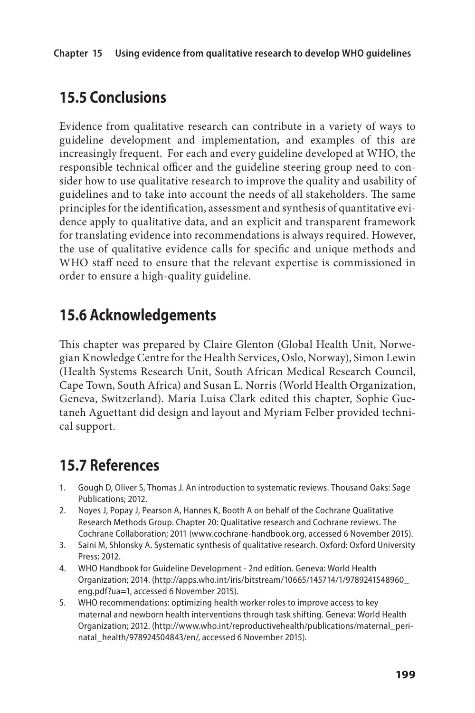## **15.5 Conclusions**

Evidence from qualitative research can contribute in a variety of ways to guideline development and implementation, and examples of this are increasingly frequent. For each and every guideline developed at WHO, the responsible technical officer and the guideline steering group need to consider how to use qualitative research to improve the quality and usability of guidelines and to take into account the needs of all stakeholders. The same principles for the identification, assessment and synthesis of quantitative evidence apply to qualitative data, and an explicit and transparent framework for translating evidence into recommendations is always required. However, the use of qualitative evidence calls for specific and unique methods and WHO staff need to ensure that the relevant expertise is commissioned in order to ensure a high-quality guideline.

## **15.6 Acknowledgements**

This chapter was prepared by Claire Glenton (Global Health Unit, Norwegian Knowledge Centre for the Health Services, Oslo, Norway), Simon Lewin (Health Systems Research Unit, South African Medical Research Council, Cape Town, South Africa) and Susan L. Norris (World Health Organization, Geneva, Switzerland). Maria Luisa Clark edited this chapter, Sophie Guetaneh Aguettant did design and layout and Myriam Felber provided technical support.

## **15.7 References**

- 1. Gough D, Oliver S, Thomas J. An introduction to systematic reviews. Thousand Oaks: Sage Publications; 2012.
- 2. Noyes J, Popay J, Pearson A, Hannes K, Booth A on behalf of the Cochrane Qualitative Research Methods Group. Chapter 20: Qualitative research and Cochrane reviews. The Cochrane Collaboration; 2011 [\(www.cochrane-handbook.org,](http://www.cochrane-handbook.org) accessed 6 November 2015).
- 3. Saini M, Shlonsky A. Systematic synthesis of qualitative research. Oxford: Oxford University Press; 2012.
- 4. WHO Handbook for Guideline Development 2nd edition. Geneva: World Health Organization; 2014. (http://apps.who.int/iris/bitstream/10665/145714/1/9789241548960\_ eng.pdf?ua=1, accessed 6 November 2015).
- 5. WHO recommendations: optimizing health worker roles to improve access to key maternal and newborn health interventions through task shifting. Geneva: World Health Organization; 2012. (http://www.who.int/reproductivehealth/publications/maternal\_perinatal\_health/978924504843/en/, accessed 6 November 2015).